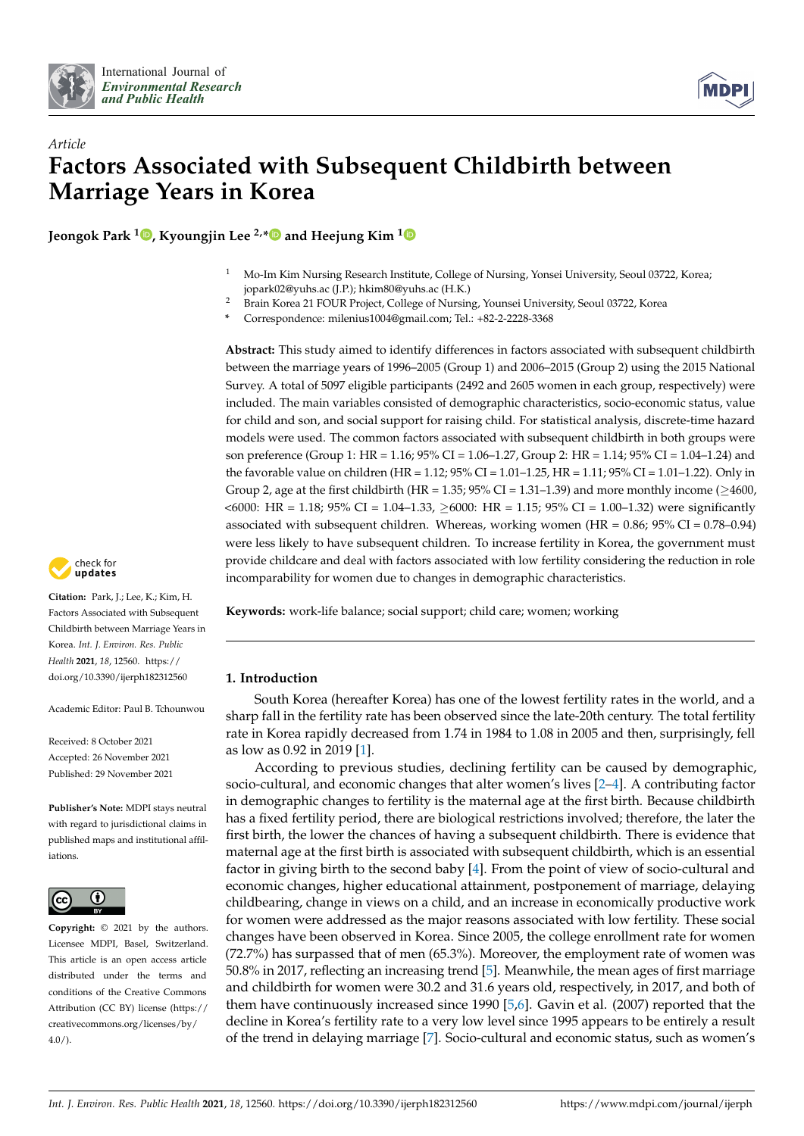



# *Article* **Factors Associated with Subsequent Childbirth between Marriage Years in Korea**

**Jeongok Park <sup>1</sup> [,](https://orcid.org/0000-0003-4978-817X) Kyoungjin Lee 2,[\\*](https://orcid.org/0000-0002-1044-863X) and Heejung Kim [1](https://orcid.org/0000-0003-3719-0111)**

- <sup>1</sup> Mo-Im Kim Nursing Research Institute, College of Nursing, Yonsei University, Seoul 03722, Korea; jopark02@yuhs.ac (J.P.); hkim80@yuhs.ac (H.K.)
- <sup>2</sup> Brain Korea 21 FOUR Project, College of Nursing, Younsei University, Seoul 03722, Korea
- **\*** Correspondence: milenius1004@gmail.com; Tel.: +82-2-2228-3368

**Abstract:** This study aimed to identify differences in factors associated with subsequent childbirth between the marriage years of 1996–2005 (Group 1) and 2006–2015 (Group 2) using the 2015 National Survey. A total of 5097 eligible participants (2492 and 2605 women in each group, respectively) were included. The main variables consisted of demographic characteristics, socio-economic status, value for child and son, and social support for raising child. For statistical analysis, discrete-time hazard models were used. The common factors associated with subsequent childbirth in both groups were son preference (Group 1: HR = 1.16; 95% CI = 1.06–1.27, Group 2: HR = 1.14; 95% CI = 1.04–1.24) and the favorable value on children (HR = 1.12; 95% CI = 1.01–1.25, HR = 1.11; 95% CI = 1.01–1.22). Only in Group 2, age at the first childbirth (HR = 1.35; 95% CI = 1.31–1.39) and more monthly income ( $\geq$ 4600, <6000: HR = 1.18; 95% CI = 1.04–1.33,  $\geq$  6000: HR = 1.15; 95% CI = 1.00–1.32) were significantly associated with subsequent children. Whereas, working women (HR =  $0.86$ ;  $95\%$  CI =  $0.78-0.94$ ) were less likely to have subsequent children. To increase fertility in Korea, the government must provide childcare and deal with factors associated with low fertility considering the reduction in role incomparability for women due to changes in demographic characteristics.

**Keywords:** work-life balance; social support; child care; women; working

# **1. Introduction**

South Korea (hereafter Korea) has one of the lowest fertility rates in the world, and a sharp fall in the fertility rate has been observed since the late-20th century. The total fertility rate in Korea rapidly decreased from 1.74 in 1984 to 1.08 in 2005 and then, surprisingly, fell as low as 0.92 in 2019 [\[1\]](#page-9-0).

According to previous studies, declining fertility can be caused by demographic, socio-cultural, and economic changes that alter women's lives [\[2](#page-9-1)[–4\]](#page-9-2). A contributing factor in demographic changes to fertility is the maternal age at the first birth. Because childbirth has a fixed fertility period, there are biological restrictions involved; therefore, the later the first birth, the lower the chances of having a subsequent childbirth. There is evidence that maternal age at the first birth is associated with subsequent childbirth, which is an essential factor in giving birth to the second baby [\[4\]](#page-9-2). From the point of view of socio-cultural and economic changes, higher educational attainment, postponement of marriage, delaying childbearing, change in views on a child, and an increase in economically productive work for women were addressed as the major reasons associated with low fertility. These social changes have been observed in Korea. Since 2005, the college enrollment rate for women (72.7%) has surpassed that of men (65.3%). Moreover, the employment rate of women was 50.8% in 2017, reflecting an increasing trend [\[5\]](#page-9-3). Meanwhile, the mean ages of first marriage and childbirth for women were 30.2 and 31.6 years old, respectively, in 2017, and both of them have continuously increased since 1990 [\[5](#page-9-3)[,6\]](#page-9-4). Gavin et al. (2007) reported that the decline in Korea's fertility rate to a very low level since 1995 appears to be entirely a result of the trend in delaying marriage [\[7\]](#page-9-5). Socio-cultural and economic status, such as women's



**Citation:** Park, J.; Lee, K.; Kim, H. Factors Associated with Subsequent Childbirth between Marriage Years in Korea. *Int. J. Environ. Res. Public Health* **2021**, *18*, 12560. [https://](https://doi.org/10.3390/ijerph182312560) [doi.org/10.3390/ijerph182312560](https://doi.org/10.3390/ijerph182312560)

Academic Editor: Paul B. Tchounwou

Received: 8 October 2021 Accepted: 26 November 2021 Published: 29 November 2021

**Publisher's Note:** MDPI stays neutral with regard to jurisdictional claims in published maps and institutional affiliations.



**Copyright:** © 2021 by the authors. Licensee MDPI, Basel, Switzerland. This article is an open access article distributed under the terms and conditions of the Creative Commons Attribution (CC BY) license (https:/[/](https://creativecommons.org/licenses/by/4.0/) [creativecommons.org/licenses/by/](https://creativecommons.org/licenses/by/4.0/) 4.0/).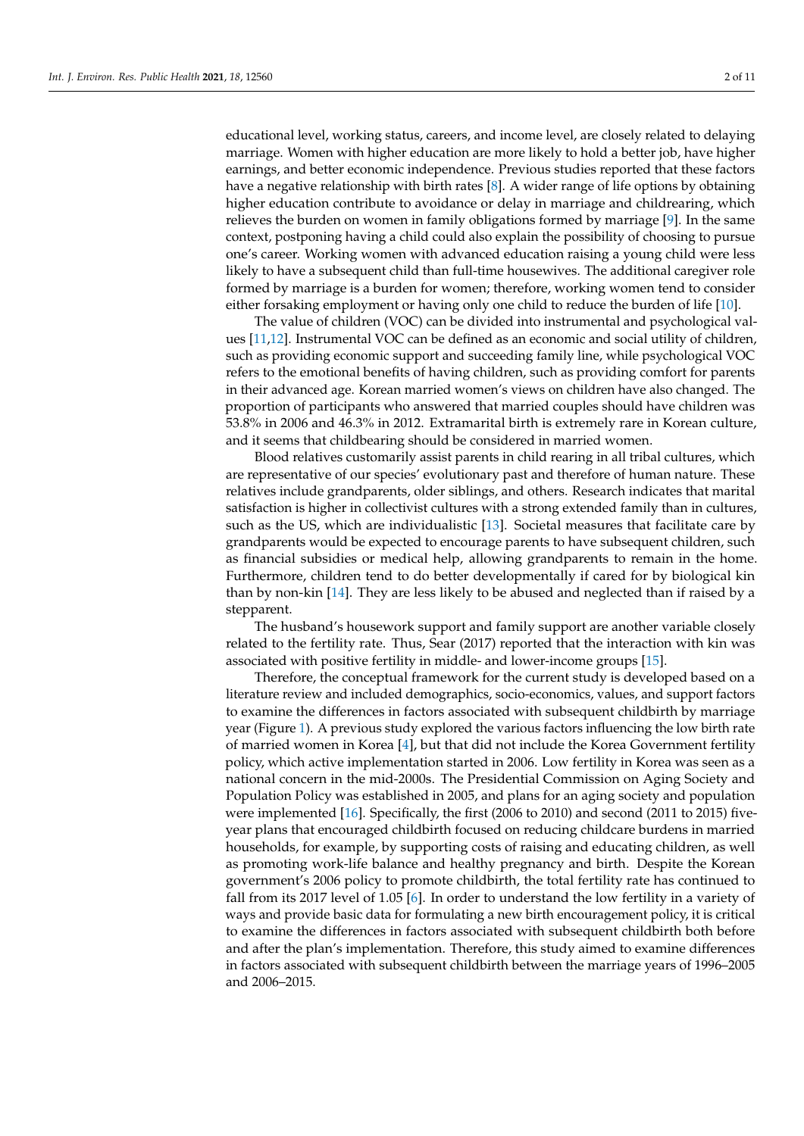educational level, working status, careers, and income level, are closely related to delaying marriage. Women with higher education are more likely to hold a better job, have higher earnings, and better economic independence. Previous studies reported that these factors have a negative relationship with birth rates [\[8\]](#page-9-6). A wider range of life options by obtaining higher education contribute to avoidance or delay in marriage and childrearing, which relieves the burden on women in family obligations formed by marriage [\[9\]](#page-9-7). In the same context, postponing having a child could also explain the possibility of choosing to pursue

one's career. Working women with advanced education raising a young child were less likely to have a subsequent child than full-time housewives. The additional caregiver role formed by marriage is a burden for women; therefore, working women tend to consider either forsaking employment or having only one child to reduce the burden of life [\[10\]](#page-9-8). The value of children (VOC) can be divided into instrumental and psychological val-

ues [\[11](#page-9-9)[,12\]](#page-9-10). Instrumental VOC can be defined as an economic and social utility of children, such as providing economic support and succeeding family line, while psychological VOC refers to the emotional benefits of having children, such as providing comfort for parents in their advanced age. Korean married women's views on children have also changed. The proportion of participants who answered that married couples should have children was 53.8% in 2006 and 46.3% in 2012. Extramarital birth is extremely rare in Korean culture, and it seems that childbearing should be considered in married women.

Blood relatives customarily assist parents in child rearing in all tribal cultures, which are representative of our species' evolutionary past and therefore of human nature. These relatives include grandparents, older siblings, and others. Research indicates that marital satisfaction is higher in collectivist cultures with a strong extended family than in cultures, such as the US, which are individualistic [\[13\]](#page-9-11). Societal measures that facilitate care by grandparents would be expected to encourage parents to have subsequent children, such as financial subsidies or medical help, allowing grandparents to remain in the home. Furthermore, children tend to do better developmentally if cared for by biological kin than by non-kin [\[14\]](#page-9-12). They are less likely to be abused and neglected than if raised by a stepparent.

The husband's housework support and family support are another variable closely related to the fertility rate. Thus, Sear (2017) reported that the interaction with kin was associated with positive fertility in middle- and lower-income groups [\[15\]](#page-10-0).

Therefore, the conceptual framework for the current study is developed based on a literature review and included demographics, socio-economics, values, and support factors to examine the differences in factors associated with subsequent childbirth by marriage year (Figure [1\)](#page-2-0). A previous study explored the various factors influencing the low birth rate of married women in Korea [\[4\]](#page-9-2), but that did not include the Korea Government fertility policy, which active implementation started in 2006. Low fertility in Korea was seen as a national concern in the mid-2000s. The Presidential Commission on Aging Society and Population Policy was established in 2005, and plans for an aging society and population were implemented [\[16\]](#page-10-1). Specifically, the first (2006 to 2010) and second (2011 to 2015) fiveyear plans that encouraged childbirth focused on reducing childcare burdens in married households, for example, by supporting costs of raising and educating children, as well as promoting work-life balance and healthy pregnancy and birth. Despite the Korean government's 2006 policy to promote childbirth, the total fertility rate has continued to fall from its 2017 level of 1.05 [\[6\]](#page-9-4). In order to understand the low fertility in a variety of ways and provide basic data for formulating a new birth encouragement policy, it is critical to examine the differences in factors associated with subsequent childbirth both before and after the plan's implementation. Therefore, this study aimed to examine differences in factors associated with subsequent childbirth between the marriage years of 1996–2005 and 2006–2015.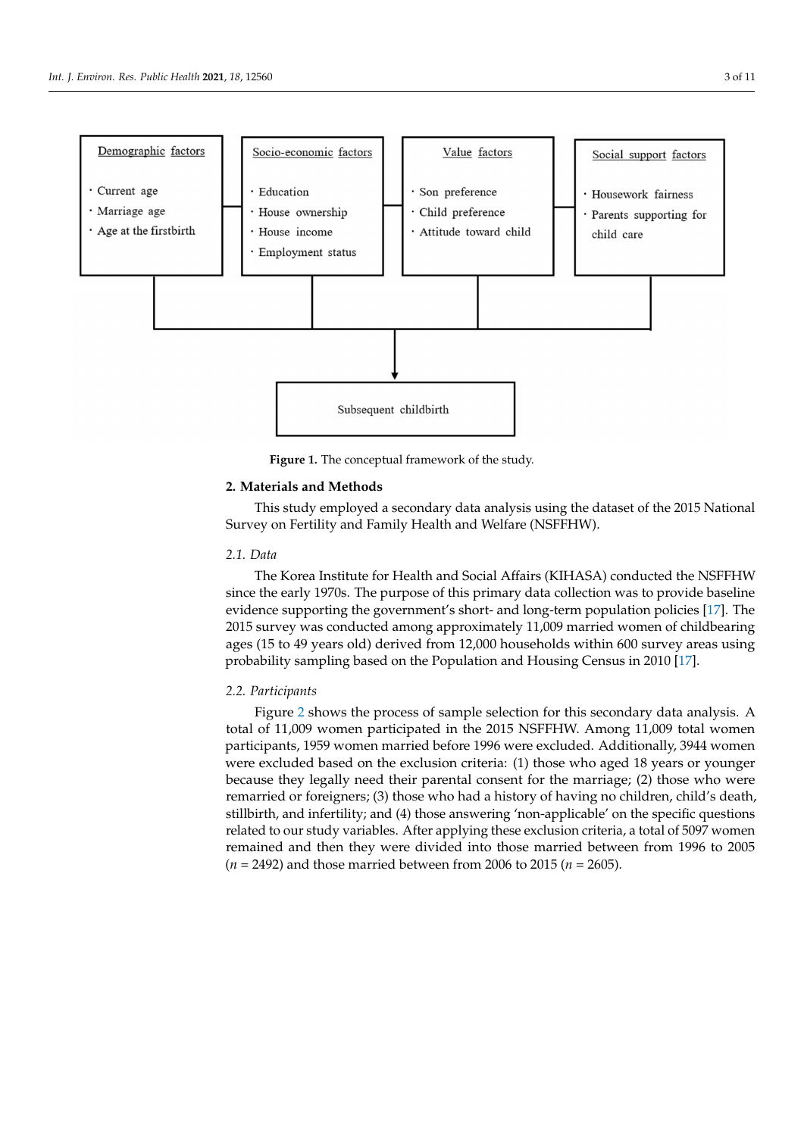<span id="page-2-0"></span>

**Figure 1.** The conceptual framework of the study. **Figure 1.** The conceptual framework of the study.

# **2. Materials and Methods 2. Materials and Methods**

This study employed a secondary data analysis using the dataset of the 2015 National This study employed a secondary data analysis using the dataset of the 2015 National Survey on Fertility and Family Health and Welfare (NSFFHW). Survey on Fertility and Family Health and Welfare (NSFFHW).

## *2.1. Data*

*2.1. Data*  The Korea Institute for Health and Social Affairs (KIHASA) conducted the NSFFHW since the early 1970s. The purpose of this primary data collection was to provide baseline evidence supporting the government's short- and long-term population policies [\[17\]](#page-10-2). The 2015 survey was conducted among approximately 11,009 married women of childbearing ages (15 to 49 years old) derived from 12,000 households within 600 survey areas using probability sampling based on the Population and Housing Census in 2010 [\[17\]](#page-10-2). probability sampling based on the Population and Housing Census in 2010 [17].

#### *2.2. Participants*

Figure 2 shows the process of sample selection for this secondary data analysis. A total of 11,009 women participated in the 2015 NSFFHW. Among 11,009 total women participants, 1959 women married before 1996 were excluded. Additionally, 3944 women were excluded based on the exclusion criteria: (1) those who aged 18 years or younger because they legally need their parental consent for the marriage; (2) those who were remarried or foreigners; (3) those who had a history of having no children, child's death, stillbirth, and infertility; and (4) those answering 'non-applicable' on the specific questions related to our study variables. After applying these exclusion criteria, a total of 5097 women remained and then they were divided into those married between from 1996 to 2005  $(n = 2492)$  and those married between from 2006 to 2015  $(n = 2605)$ .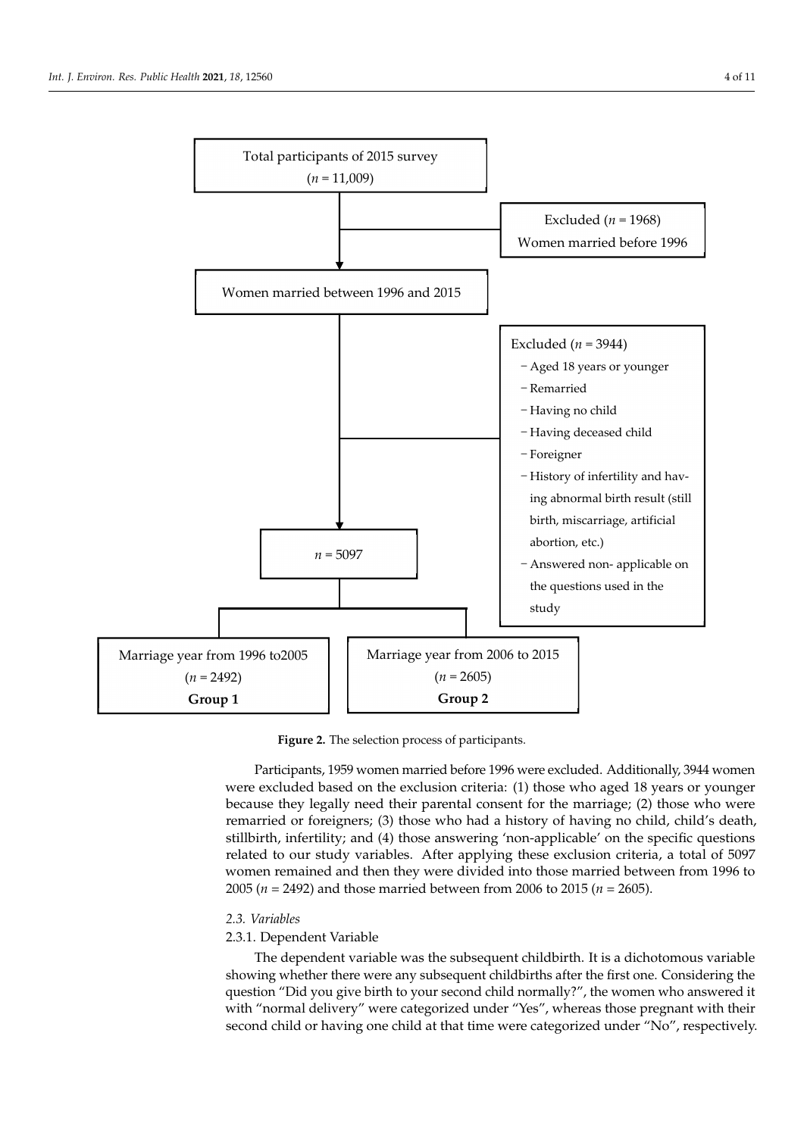<span id="page-3-0"></span>

**Figure 2.** The selection process of participants. **Figure 2.** The selection process of participants.

Participants, 1959 women married before 1996 were excluded. Additionally, 3944 women were excluded based on the exclusion criteria: (1) those who aged 18 years or younger because they legally need their parental consent for the marriage; (2) those who were remarried or foreigners; (3) those who had a history of having no child, child's death, stillbirth, infertility; and (4) those answering 'non-applicable' on the specific questions related to our study variables. After applying these exclusion criteria, a total of 5097 women remained and then they were divided into those married between from 1996 to 2005 (*n* = 2492) and those married between from 2006 to 2015 (*n* = 2605).

# day of the first and the day of the second childbirth. *2.3. Variables*

# 2.3.1. Dependent Variable

Included current variance was the stassequent childbirths. It is a dichotomolas variance showing whether there were any subsequent childbirths after the first one. Considering the education "Did you give birth to your second child normally?", the women who answered it question Dia you give strative your second clina hormany. The women who districted it<br>with "normal delivery" were categorized under "Yes", whereas those pregnant with their  $\alpha$  above. Marriage age was divided into  $\alpha$  years of  $\alpha$  years of  $\alpha$  years of  $\alpha$  years of  $\alpha$  years of  $\alpha$  years of  $\alpha$  years of  $\alpha$  years of  $\alpha$  years of  $\alpha$  years of  $\alpha$  years of  $\alpha$  years of  $\alpha$  years second child or having one child at that time were categorized under "No", respectively.<br> The dependent variable was the subsequent childbirth. It is a dichotomous variable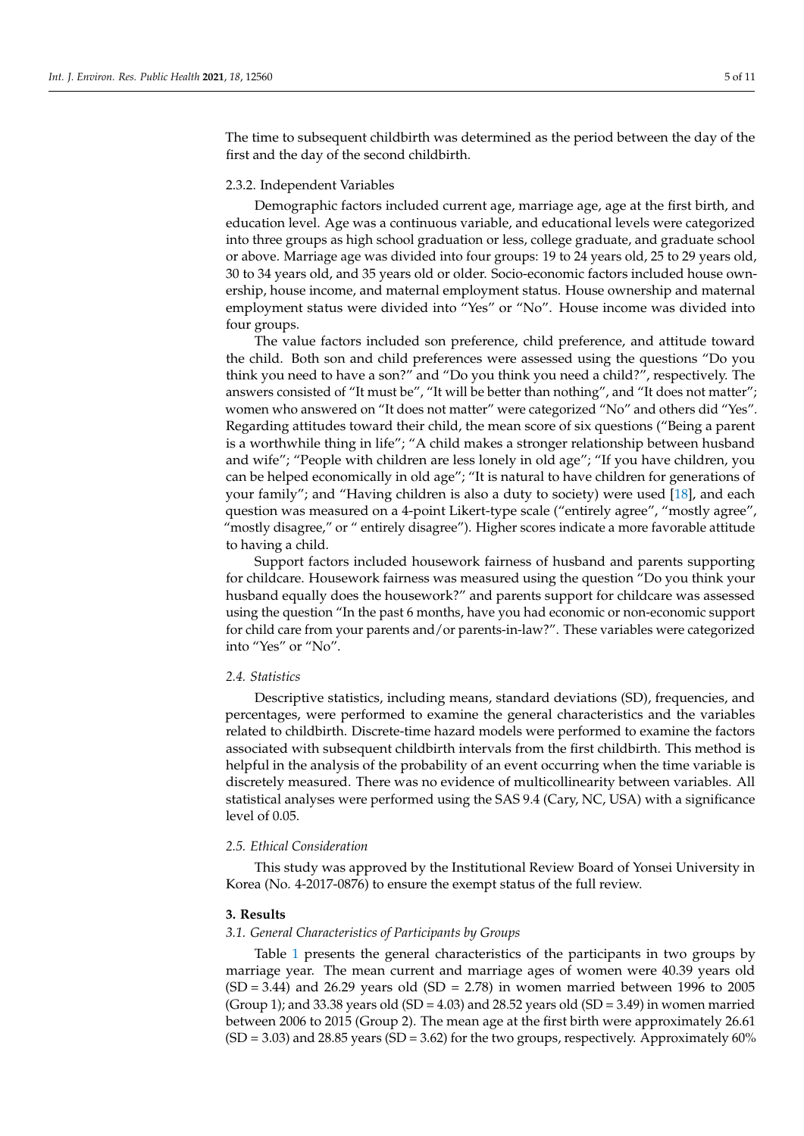The time to subsequent childbirth was determined as the period between the day of the first and the day of the second childbirth.

### 2.3.2. Independent Variables

Demographic factors included current age, marriage age, age at the first birth, and education level. Age was a continuous variable, and educational levels were categorized into three groups as high school graduation or less, college graduate, and graduate school or above. Marriage age was divided into four groups: 19 to 24 years old, 25 to 29 years old, 30 to 34 years old, and 35 years old or older. Socio-economic factors included house ownership, house income, and maternal employment status. House ownership and maternal employment status were divided into "Yes" or "No". House income was divided into four groups.

The value factors included son preference, child preference, and attitude toward the child. Both son and child preferences were assessed using the questions "Do you think you need to have a son?" and "Do you think you need a child?", respectively. The answers consisted of "It must be", "It will be better than nothing", and "It does not matter"; women who answered on "It does not matter" were categorized "No" and others did "Yes". Regarding attitudes toward their child, the mean score of six questions ("Being a parent is a worthwhile thing in life"; "A child makes a stronger relationship between husband and wife"; "People with children are less lonely in old age"; "If you have children, you can be helped economically in old age"; "It is natural to have children for generations of your family"; and "Having children is also a duty to society) were used [\[18\]](#page-10-3), and each question was measured on a 4-point Likert-type scale ("entirely agree", "mostly agree", "mostly disagree," or " entirely disagree"). Higher scores indicate a more favorable attitude to having a child.

Support factors included housework fairness of husband and parents supporting for childcare. Housework fairness was measured using the question "Do you think your husband equally does the housework?" and parents support for childcare was assessed using the question "In the past 6 months, have you had economic or non-economic support for child care from your parents and/or parents-in-law?". These variables were categorized into "Yes" or "No".

## *2.4. Statistics*

Descriptive statistics, including means, standard deviations (SD), frequencies, and percentages, were performed to examine the general characteristics and the variables related to childbirth. Discrete-time hazard models were performed to examine the factors associated with subsequent childbirth intervals from the first childbirth. This method is helpful in the analysis of the probability of an event occurring when the time variable is discretely measured. There was no evidence of multicollinearity between variables. All statistical analyses were performed using the SAS 9.4 (Cary, NC, USA) with a significance level of 0.05.

#### *2.5. Ethical Consideration*

This study was approved by the Institutional Review Board of Yonsei University in Korea (No. 4-2017-0876) to ensure the exempt status of the full review.

#### **3. Results**

#### *3.1. General Characteristics of Participants by Groups*

Table [1](#page-5-0) presents the general characteristics of the participants in two groups by marriage year. The mean current and marriage ages of women were 40.39 years old  $(SD = 3.44)$  and 26.29 years old  $(SD = 2.78)$  in women married between 1996 to 2005 (Group 1); and 33.38 years old (SD =  $4.03$ ) and 28.52 years old (SD = 3.49) in women married between 2006 to 2015 (Group 2). The mean age at the first birth were approximately 26.61  $(SD = 3.03)$  and 28.85 years  $(SD = 3.62)$  for the two groups, respectively. Approximately 60%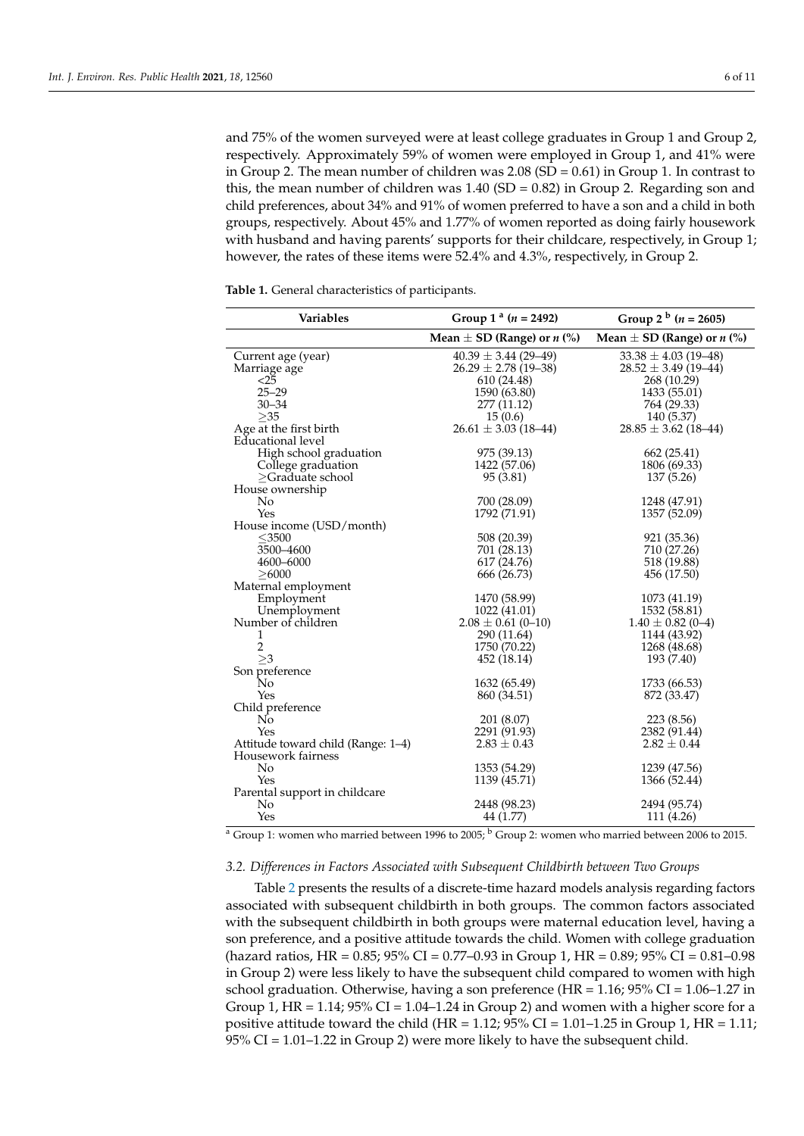and 75% of the women surveyed were at least college graduates in Group 1 and Group 2, respectively. Approximately 59% of women were employed in Group 1, and 41% were in Group 2. The mean number of children was  $2.08$  (SD = 0.61) in Group 1. In contrast to this, the mean number of children was  $1.40$  (SD = 0.82) in Group 2. Regarding son and child preferences, about 34% and 91% of women preferred to have a son and a child in both groups, respectively. About 45% and 1.77% of women reported as doing fairly housework with husband and having parents' supports for their childcare, respectively, in Group 1; however, the rates of these items were 52.4% and 4.3%, respectively, in Group 2.

<span id="page-5-0"></span>**Table 1.** General characteristics of participants.

| <b>Variables</b>                   | Group $1^a$ ( <i>n</i> = 2492)        | Group 2 <sup>b</sup> ( <i>n</i> = 2605) |  |  |
|------------------------------------|---------------------------------------|-----------------------------------------|--|--|
|                                    | Mean $\pm$ SD (Range) or <i>n</i> (%) | Mean $\pm$ SD (Range) or <i>n</i> (%)   |  |  |
| Current age (year)                 | $40.39 \pm 3.44$ (29-49)              | $33.38 \pm 4.03$ (19-48)                |  |  |
| Marriage age                       | $26.29 \pm 2.78$ (19-38)              | $28.52 \pm 3.49$ (19-44)                |  |  |
| $<$ 25                             | 610 (24.48)                           | 268 (10.29)                             |  |  |
| $25 - 29$                          | 1590 (63.80)                          | 1433 (55.01)                            |  |  |
| $30 - 34$                          | 277 (11.12)                           | 764 (29.33)                             |  |  |
| >35                                | 15(0.6)                               | 140 (5.37)                              |  |  |
| Age at the first birth             | $26.61 \pm 3.03$ (18-44)              | $28.85 \pm 3.62$ (18-44)                |  |  |
| Educational level                  |                                       |                                         |  |  |
| High school graduation             | 975 (39.13)                           | 662 (25.41)                             |  |  |
| College graduation                 | 1422 (57.06)                          | 1806 (69.33)                            |  |  |
| $\geq$ Graduate school             | 95 (3.81)                             | 137(5.26)                               |  |  |
| House ownership                    |                                       |                                         |  |  |
| No                                 | 700 (28.09)                           | 1248 (47.91)                            |  |  |
| Yes                                | 1792 (71.91)                          | 1357 (52.09)                            |  |  |
| House income (USD/month)           |                                       |                                         |  |  |
| $<$ 3500                           | 508 (20.39)                           | 921 (35.36)                             |  |  |
| 3500-4600                          | 701 (28.13)                           | 710 (27.26)                             |  |  |
| 4600-6000                          | 617 (24.76)                           | 518 (19.88)                             |  |  |
| > 6000                             | 666 (26.73)                           | 456 (17.50)                             |  |  |
| Maternal employment                |                                       |                                         |  |  |
| Employment                         | 1470 (58.99)                          | 1073 (41.19)                            |  |  |
| Unemployment                       | 1022 (41.01)                          | 1532 (58.81)                            |  |  |
| Number of children                 | $2.08 \pm 0.61$ (0-10)                | $1.40 \pm 0.82$ (0-4)                   |  |  |
| 1                                  | 290 (11.64)                           | 1144 (43.92)                            |  |  |
| $\overline{2}$                     | 1750 (70.22)                          | 1268 (48.68)                            |  |  |
| >3                                 | 452 (18.14)                           | 193 (7.40)                              |  |  |
| Son preference                     |                                       |                                         |  |  |
| No                                 | 1632 (65.49)                          | 1733 (66.53)                            |  |  |
| Yes                                | 860 (34.51)                           | 872 (33.47)                             |  |  |
| Child preference                   |                                       |                                         |  |  |
| No                                 | 201 (8.07)                            | 223 (8.56)                              |  |  |
| Yes                                | 2291 (91.93)                          | 2382 (91.44)                            |  |  |
| Attitude toward child (Range: 1–4) | $2.83 \pm 0.43$                       | $2.82 \pm 0.44$                         |  |  |
| Housework fairness                 |                                       |                                         |  |  |
| No                                 | 1353 (54.29)                          | 1239 (47.56)                            |  |  |
| Yes                                | 1139 (45.71)                          | 1366 (52.44)                            |  |  |
| Parental support in childcare      |                                       |                                         |  |  |
| No                                 | 2448 (98.23)                          | 2494 (95.74)                            |  |  |
| Yes                                | 44 (1.77)                             | 111 (4.26)                              |  |  |

 $\frac{1}{a}$  Group 1: women who married between 1996 to 2005; <sup>b</sup> Group 2: women who married between 2006 to 2015.

## *3.2. Differences in Factors Associated with Subsequent Childbirth between Two Groups*

Table [2](#page-6-0) presents the results of a discrete-time hazard models analysis regarding factors associated with subsequent childbirth in both groups. The common factors associated with the subsequent childbirth in both groups were maternal education level, having a son preference, and a positive attitude towards the child. Women with college graduation (hazard ratios, HR = 0.85; 95% CI = 0.77–0.93 in Group 1, HR = 0.89; 95% CI = 0.81–0.98 in Group 2) were less likely to have the subsequent child compared to women with high school graduation. Otherwise, having a son preference (HR = 1.16; 95% CI = 1.06–1.27 in Group 1, HR =  $1.14$ ;  $95\%$  CI =  $1.04-1.24$  in Group 2) and women with a higher score for a positive attitude toward the child (HR = 1.12;  $95\%$  CI = 1.01–1.25 in Group 1, HR = 1.11; 95% CI = 1.01–1.22 in Group 2) were more likely to have the subsequent child.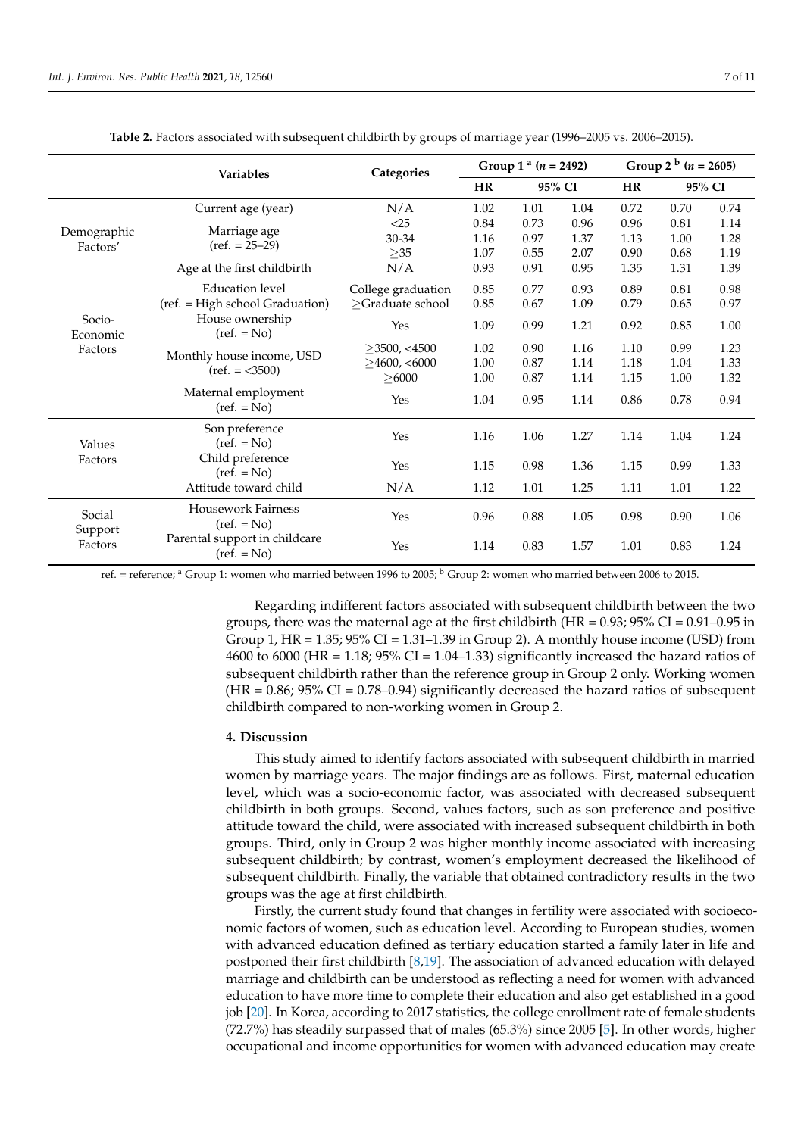<span id="page-6-0"></span>

|                               | <b>Variables</b>                                            | Categories             | Group 1 <sup>a</sup> $(n = 2492)$ |      |        | Group 2 <sup>b</sup> ( $n = 2605$ ) |      |        |
|-------------------------------|-------------------------------------------------------------|------------------------|-----------------------------------|------|--------|-------------------------------------|------|--------|
|                               |                                                             |                        | HR                                |      | 95% CI | <b>HR</b>                           |      | 95% CI |
| Demographic<br>Factors'       | Current age (year)                                          | N/A                    | 1.02                              | 1.01 | 1.04   | 0.72                                | 0.70 | 0.74   |
|                               | Marriage age                                                | $<$ 25                 | 0.84                              | 0.73 | 0.96   | 0.96                                | 0.81 | 1.14   |
|                               | $ref. = 25-29$                                              | 30-34                  | 1.16                              | 0.97 | 1.37   | 1.13                                | 1.00 | 1.28   |
|                               |                                                             | $\geq$ 35              | 1.07                              | 0.55 | 2.07   | 0.90                                | 0.68 | 1.19   |
|                               | Age at the first childbirth                                 | N/A                    | 0.93                              | 0.91 | 0.95   | 1.35                                | 1.31 | 1.39   |
| Socio-<br>Economic<br>Factors | Education level                                             | College graduation     | 0.85                              | 0.77 | 0.93   | 0.89                                | 0.81 | 0.98   |
|                               | (ref. = High school Graduation)                             | $\geq$ Graduate school | 0.85                              | 0.67 | 1.09   | 0.79                                | 0.65 | 0.97   |
|                               | House ownership<br>$(ref. = No)$                            | Yes                    | 1.09                              | 0.99 | 1.21   | 0.92                                | 0.85 | 1.00   |
|                               | Monthly house income, USD<br>$(ref. = \langle 3500 \rangle$ | $\geq$ 3500, <4500     | 1.02                              | 0.90 | 1.16   | 1.10                                | 0.99 | 1.23   |
|                               |                                                             | $\geq$ 4600, <6000     | 1.00                              | 0.87 | 1.14   | 1.18                                | 1.04 | 1.33   |
|                               |                                                             | $\geq 6000$            | 1.00                              | 0.87 | 1.14   | 1.15                                | 1.00 | 1.32   |
|                               | Maternal employment<br>$(ref. = No)$                        | Yes                    | 1.04                              | 0.95 | 1.14   | 0.86                                | 0.78 | 0.94   |
| Values<br>Factors             | Son preference<br>$(ref. = No)$                             | Yes                    | 1.16                              | 1.06 | 1.27   | 1.14                                | 1.04 | 1.24   |
|                               | Child preference<br>$(ref. = No)$                           | Yes                    | 1.15                              | 0.98 | 1.36   | 1.15                                | 0.99 | 1.33   |
|                               | Attitude toward child                                       | N/A                    | 1.12                              | 1.01 | 1.25   | 1.11                                | 1.01 | 1.22   |
| Social<br>Support<br>Factors  | <b>Housework Fairness</b><br>$(ref. = No)$                  | Yes                    | 0.96                              | 0.88 | 1.05   | 0.98                                | 0.90 | 1.06   |
|                               | Parental support in childcare<br>$(ref. = No)$              | Yes                    | 1.14                              | 0.83 | 1.57   | 1.01                                | 0.83 | 1.24   |

**Table 2.** Factors associated with subsequent childbirth by groups of marriage year (1996–2005 vs. 2006–2015).

ref. = reference; <sup>a</sup> Group 1: women who married between 1996 to 2005; <sup>b</sup> Group 2: women who married between 2006 to 2015.

Regarding indifferent factors associated with subsequent childbirth between the two groups, there was the maternal age at the first childbirth (HR =  $0.93$ ;  $95\%$  CI =  $0.91-0.95$  in Group 1, HR =  $1.35$ ;  $95\%$  CI =  $1.31$ – $1.39$  in Group 2). A monthly house income (USD) from 4600 to 6000 (HR = 1.18;  $95\%$  CI = 1.04–1.33) significantly increased the hazard ratios of subsequent childbirth rather than the reference group in Group 2 only. Working women  $(HR = 0.86; 95\% CI = 0.78{\text -}0.94)$  significantly decreased the hazard ratios of subsequent childbirth compared to non-working women in Group 2.

#### **4. Discussion**

This study aimed to identify factors associated with subsequent childbirth in married women by marriage years. The major findings are as follows. First, maternal education level, which was a socio-economic factor, was associated with decreased subsequent childbirth in both groups. Second, values factors, such as son preference and positive attitude toward the child, were associated with increased subsequent childbirth in both groups. Third, only in Group 2 was higher monthly income associated with increasing subsequent childbirth; by contrast, women's employment decreased the likelihood of subsequent childbirth. Finally, the variable that obtained contradictory results in the two groups was the age at first childbirth.

Firstly, the current study found that changes in fertility were associated with socioeconomic factors of women, such as education level. According to European studies, women with advanced education defined as tertiary education started a family later in life and postponed their first childbirth [\[8](#page-9-6)[,19\]](#page-10-4). The association of advanced education with delayed marriage and childbirth can be understood as reflecting a need for women with advanced education to have more time to complete their education and also get established in a good job [\[20\]](#page-10-5). In Korea, according to 2017 statistics, the college enrollment rate of female students (72.7%) has steadily surpassed that of males (65.3%) since 2005 [\[5\]](#page-9-3). In other words, higher occupational and income opportunities for women with advanced education may create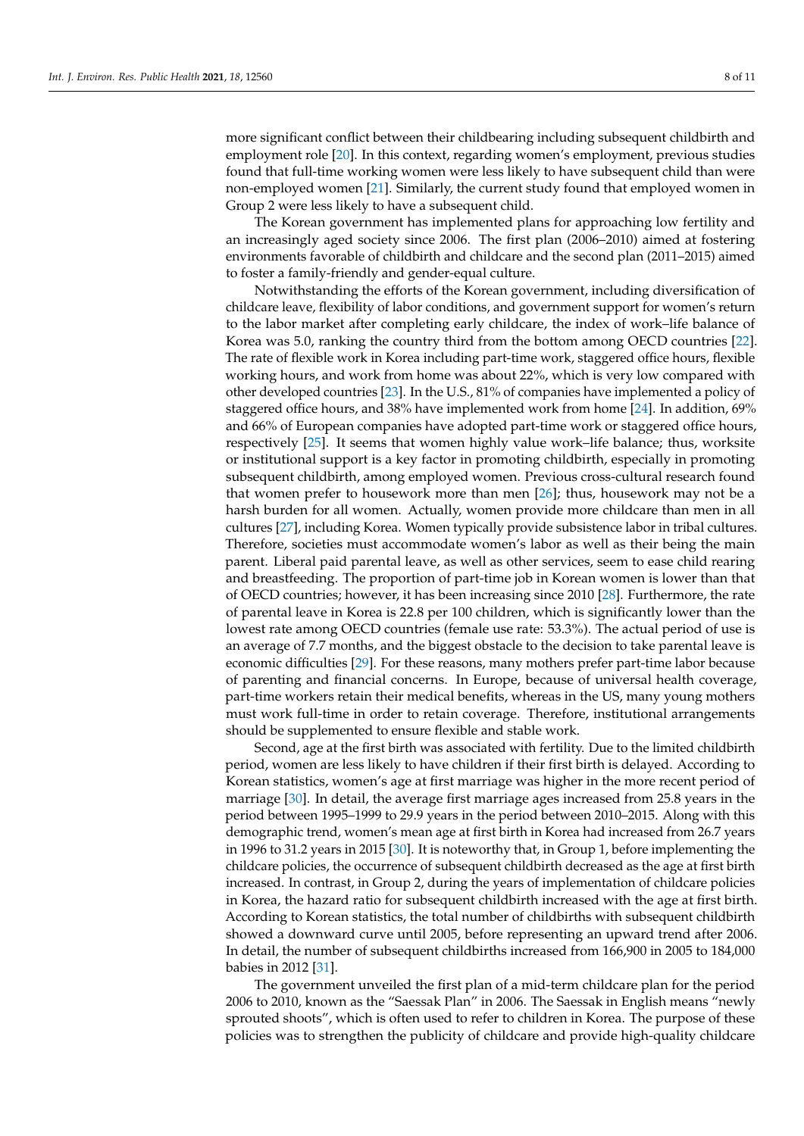more significant conflict between their childbearing including subsequent childbirth and employment role [\[20\]](#page-10-5). In this context, regarding women's employment, previous studies found that full-time working women were less likely to have subsequent child than were non-employed women [\[21\]](#page-10-6). Similarly, the current study found that employed women in Group 2 were less likely to have a subsequent child.

The Korean government has implemented plans for approaching low fertility and an increasingly aged society since 2006. The first plan (2006–2010) aimed at fostering environments favorable of childbirth and childcare and the second plan (2011–2015) aimed to foster a family-friendly and gender-equal culture.

Notwithstanding the efforts of the Korean government, including diversification of childcare leave, flexibility of labor conditions, and government support for women's return to the labor market after completing early childcare, the index of work–life balance of Korea was 5.0, ranking the country third from the bottom among OECD countries [\[22\]](#page-10-7). The rate of flexible work in Korea including part-time work, staggered office hours, flexible working hours, and work from home was about 22%, which is very low compared with other developed countries [\[23\]](#page-10-8). In the U.S., 81% of companies have implemented a policy of staggered office hours, and 38% have implemented work from home [\[24\]](#page-10-9). In addition, 69% and 66% of European companies have adopted part-time work or staggered office hours, respectively [\[25\]](#page-10-10). It seems that women highly value work–life balance; thus, worksite or institutional support is a key factor in promoting childbirth, especially in promoting subsequent childbirth, among employed women. Previous cross-cultural research found that women prefer to housework more than men [\[26\]](#page-10-11); thus, housework may not be a harsh burden for all women. Actually, women provide more childcare than men in all cultures [\[27\]](#page-10-12), including Korea. Women typically provide subsistence labor in tribal cultures. Therefore, societies must accommodate women's labor as well as their being the main parent. Liberal paid parental leave, as well as other services, seem to ease child rearing and breastfeeding. The proportion of part-time job in Korean women is lower than that of OECD countries; however, it has been increasing since 2010 [\[28\]](#page-10-13). Furthermore, the rate of parental leave in Korea is 22.8 per 100 children, which is significantly lower than the lowest rate among OECD countries (female use rate: 53.3%). The actual period of use is an average of 7.7 months, and the biggest obstacle to the decision to take parental leave is economic difficulties [\[29\]](#page-10-14). For these reasons, many mothers prefer part-time labor because of parenting and financial concerns. In Europe, because of universal health coverage, part-time workers retain their medical benefits, whereas in the US, many young mothers must work full-time in order to retain coverage. Therefore, institutional arrangements should be supplemented to ensure flexible and stable work.

Second, age at the first birth was associated with fertility. Due to the limited childbirth period, women are less likely to have children if their first birth is delayed. According to Korean statistics, women's age at first marriage was higher in the more recent period of marriage [\[30\]](#page-10-15). In detail, the average first marriage ages increased from 25.8 years in the period between 1995–1999 to 29.9 years in the period between 2010–2015. Along with this demographic trend, women's mean age at first birth in Korea had increased from 26.7 years in 1996 to 31.2 years in 2015 [\[30\]](#page-10-15). It is noteworthy that, in Group 1, before implementing the childcare policies, the occurrence of subsequent childbirth decreased as the age at first birth increased. In contrast, in Group 2, during the years of implementation of childcare policies in Korea, the hazard ratio for subsequent childbirth increased with the age at first birth. According to Korean statistics, the total number of childbirths with subsequent childbirth showed a downward curve until 2005, before representing an upward trend after 2006. In detail, the number of subsequent childbirths increased from 166,900 in 2005 to 184,000 babies in 2012 [\[31\]](#page-10-16).

The government unveiled the first plan of a mid-term childcare plan for the period 2006 to 2010, known as the "Saessak Plan" in 2006. The Saessak in English means "newly sprouted shoots", which is often used to refer to children in Korea. The purpose of these policies was to strengthen the publicity of childcare and provide high-quality childcare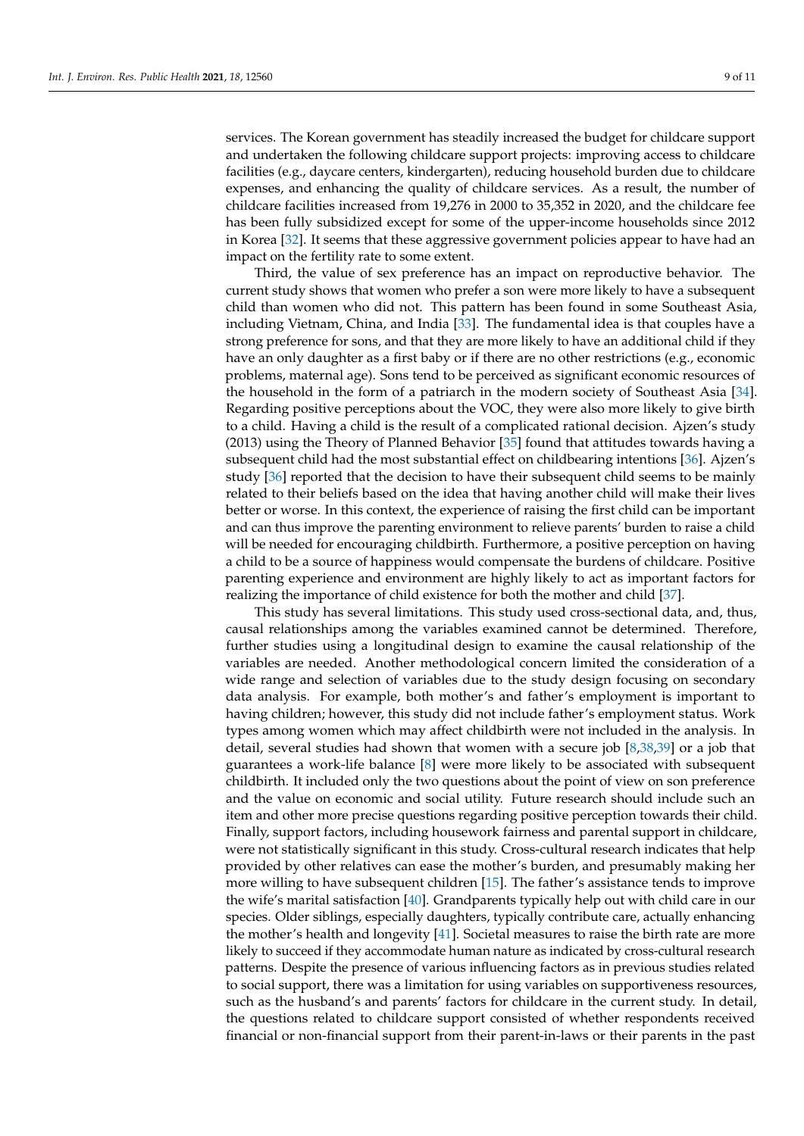services. The Korean government has steadily increased the budget for childcare support and undertaken the following childcare support projects: improving access to childcare facilities (e.g., daycare centers, kindergarten), reducing household burden due to childcare expenses, and enhancing the quality of childcare services. As a result, the number of childcare facilities increased from 19,276 in 2000 to 35,352 in 2020, and the childcare fee has been fully subsidized except for some of the upper-income households since 2012 in Korea [\[32\]](#page-10-17). It seems that these aggressive government policies appear to have had an impact on the fertility rate to some extent.

Third, the value of sex preference has an impact on reproductive behavior. The current study shows that women who prefer a son were more likely to have a subsequent child than women who did not. This pattern has been found in some Southeast Asia, including Vietnam, China, and India [\[33\]](#page-10-18). The fundamental idea is that couples have a strong preference for sons, and that they are more likely to have an additional child if they have an only daughter as a first baby or if there are no other restrictions (e.g., economic problems, maternal age). Sons tend to be perceived as significant economic resources of the household in the form of a patriarch in the modern society of Southeast Asia [\[34\]](#page-10-19). Regarding positive perceptions about the VOC, they were also more likely to give birth to a child. Having a child is the result of a complicated rational decision. Ajzen's study (2013) using the Theory of Planned Behavior [\[35\]](#page-10-20) found that attitudes towards having a subsequent child had the most substantial effect on childbearing intentions [\[36\]](#page-10-21). Ajzen's study [\[36\]](#page-10-21) reported that the decision to have their subsequent child seems to be mainly related to their beliefs based on the idea that having another child will make their lives better or worse. In this context, the experience of raising the first child can be important and can thus improve the parenting environment to relieve parents' burden to raise a child will be needed for encouraging childbirth. Furthermore, a positive perception on having a child to be a source of happiness would compensate the burdens of childcare. Positive parenting experience and environment are highly likely to act as important factors for realizing the importance of child existence for both the mother and child [\[37\]](#page-10-22).

This study has several limitations. This study used cross-sectional data, and, thus, causal relationships among the variables examined cannot be determined. Therefore, further studies using a longitudinal design to examine the causal relationship of the variables are needed. Another methodological concern limited the consideration of a wide range and selection of variables due to the study design focusing on secondary data analysis. For example, both mother's and father's employment is important to having children; however, this study did not include father's employment status. Work types among women which may affect childbirth were not included in the analysis. In detail, several studies had shown that women with a secure job [\[8,](#page-9-6)[38,](#page-10-23)[39\]](#page-10-24) or a job that guarantees a work-life balance [\[8\]](#page-9-6) were more likely to be associated with subsequent childbirth. It included only the two questions about the point of view on son preference and the value on economic and social utility. Future research should include such an item and other more precise questions regarding positive perception towards their child. Finally, support factors, including housework fairness and parental support in childcare, were not statistically significant in this study. Cross-cultural research indicates that help provided by other relatives can ease the mother's burden, and presumably making her more willing to have subsequent children [\[15\]](#page-10-0). The father's assistance tends to improve the wife's marital satisfaction [\[40\]](#page-10-25). Grandparents typically help out with child care in our species. Older siblings, especially daughters, typically contribute care, actually enhancing the mother's health and longevity [\[41\]](#page-10-26). Societal measures to raise the birth rate are more likely to succeed if they accommodate human nature as indicated by cross-cultural research patterns. Despite the presence of various influencing factors as in previous studies related to social support, there was a limitation for using variables on supportiveness resources, such as the husband's and parents' factors for childcare in the current study. In detail, the questions related to childcare support consisted of whether respondents received financial or non-financial support from their parent-in-laws or their parents in the past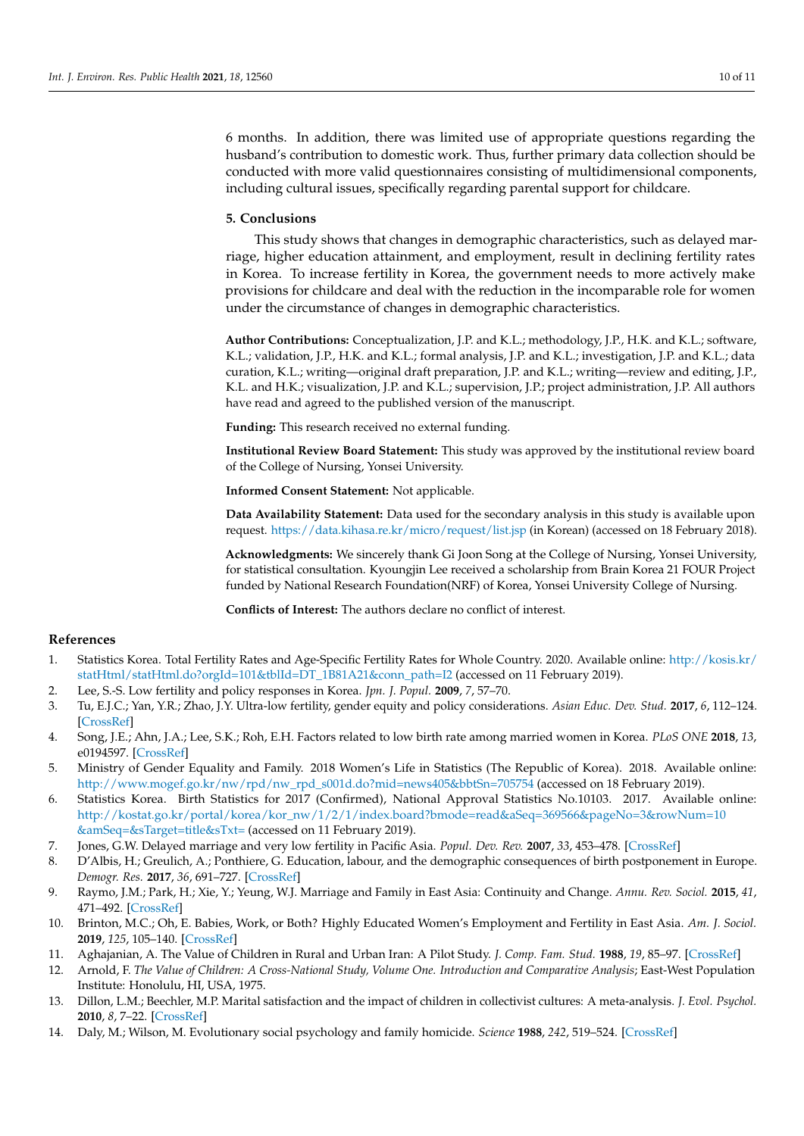6 months. In addition, there was limited use of appropriate questions regarding the husband's contribution to domestic work. Thus, further primary data collection should be conducted with more valid questionnaires consisting of multidimensional components, including cultural issues, specifically regarding parental support for childcare.

#### **5. Conclusions**

This study shows that changes in demographic characteristics, such as delayed marriage, higher education attainment, and employment, result in declining fertility rates in Korea. To increase fertility in Korea, the government needs to more actively make provisions for childcare and deal with the reduction in the incomparable role for women under the circumstance of changes in demographic characteristics.

**Author Contributions:** Conceptualization, J.P. and K.L.; methodology, J.P., H.K. and K.L.; software, K.L.; validation, J.P., H.K. and K.L.; formal analysis, J.P. and K.L.; investigation, J.P. and K.L.; data curation, K.L.; writing—original draft preparation, J.P. and K.L.; writing—review and editing, J.P., K.L. and H.K.; visualization, J.P. and K.L.; supervision, J.P.; project administration, J.P. All authors have read and agreed to the published version of the manuscript.

**Funding:** This research received no external funding.

**Institutional Review Board Statement:** This study was approved by the institutional review board of the College of Nursing, Yonsei University.

**Informed Consent Statement:** Not applicable.

**Data Availability Statement:** Data used for the secondary analysis in this study is available upon request. <https://data.kihasa.re.kr/micro/request/list.jsp> (in Korean) (accessed on 18 February 2018).

**Acknowledgments:** We sincerely thank Gi Joon Song at the College of Nursing, Yonsei University, for statistical consultation. Kyoungjin Lee received a scholarship from Brain Korea 21 FOUR Project funded by National Research Foundation(NRF) of Korea, Yonsei University College of Nursing.

**Conflicts of Interest:** The authors declare no conflict of interest.

# **References**

- <span id="page-9-0"></span>1. Statistics Korea. Total Fertility Rates and Age-Specific Fertility Rates for Whole Country. 2020. Available online: [http://kosis.kr/](http://kosis.kr/statHtml/statHtml.do?orgId=101&tblId=DT_1B81A21&conn_path=I2) [statHtml/statHtml.do?orgId=101&tblId=DT\\_1B81A21&conn\\_path=I2](http://kosis.kr/statHtml/statHtml.do?orgId=101&tblId=DT_1B81A21&conn_path=I2) (accessed on 11 February 2019).
- <span id="page-9-1"></span>2. Lee, S.-S. Low fertility and policy responses in Korea. *Jpn. J. Popul.* **2009**, *7*, 57–70.
- 3. Tu, E.J.C.; Yan, Y.R.; Zhao, J.Y. Ultra-low fertility, gender equity and policy considerations. *Asian Educ. Dev. Stud.* **2017**, *6*, 112–124. [\[CrossRef\]](http://doi.org/10.1108/AEDS-02-2016-0016)
- <span id="page-9-2"></span>4. Song, J.E.; Ahn, J.A.; Lee, S.K.; Roh, E.H. Factors related to low birth rate among married women in Korea. *PLoS ONE* **2018**, *13*, e0194597. [\[CrossRef\]](http://doi.org/10.1371/journal.pone.0194597)
- <span id="page-9-3"></span>5. Ministry of Gender Equality and Family. 2018 Women's Life in Statistics (The Republic of Korea). 2018. Available online: [http://www.mogef.go.kr/nw/rpd/nw\\_rpd\\_s001d.do?mid=news405&bbtSn=705754](http://www.mogef.go.kr/nw/rpd/nw_rpd_s001d.do?mid=news405&bbtSn=705754) (accessed on 18 February 2019).
- <span id="page-9-4"></span>6. Statistics Korea. Birth Statistics for 2017 (Confirmed), National Approval Statistics No.10103. 2017. Available online: [http://kostat.go.kr/portal/korea/kor\\_nw/1/2/1/index.board?bmode=read&aSeq=369566&pageNo=3&rowNum=10](http://kostat.go.kr/portal/korea/kor_nw/1/2/1/index.board?bmode=read&aSeq=369566&pageNo=3&rowNum=10&amSeq=&sTarget=title&sTxt=) [&amSeq=&sTarget=title&sTxt=](http://kostat.go.kr/portal/korea/kor_nw/1/2/1/index.board?bmode=read&aSeq=369566&pageNo=3&rowNum=10&amSeq=&sTarget=title&sTxt=) (accessed on 11 February 2019).
- <span id="page-9-5"></span>7. Jones, G.W. Delayed marriage and very low fertility in Pacific Asia. *Popul. Dev. Rev.* **2007**, *33*, 453–478. [\[CrossRef\]](http://doi.org/10.1111/j.1728-4457.2007.00180.x)
- <span id="page-9-6"></span>8. D'Albis, H.; Greulich, A.; Ponthiere, G. Education, labour, and the demographic consequences of birth postponement in Europe. *Demogr. Res.* **2017**, *36*, 691–727. [\[CrossRef\]](http://doi.org/10.4054/DemRes.2017.36.23)
- <span id="page-9-7"></span>9. Raymo, J.M.; Park, H.; Xie, Y.; Yeung, W.J. Marriage and Family in East Asia: Continuity and Change. *Annu. Rev. Sociol.* **2015**, *41*, 471–492. [\[CrossRef\]](http://doi.org/10.1146/annurev-soc-073014-112428)
- <span id="page-9-8"></span>10. Brinton, M.C.; Oh, E. Babies, Work, or Both? Highly Educated Women's Employment and Fertility in East Asia. *Am. J. Sociol.* **2019**, *125*, 105–140. [\[CrossRef\]](http://doi.org/10.1086/704369)
- <span id="page-9-9"></span>11. Aghajanian, A. The Value of Children in Rural and Urban Iran: A Pilot Study. *J. Comp. Fam. Stud.* **1988**, *19*, 85–97. [\[CrossRef\]](http://doi.org/10.3138/jcfs.19.1.85)
- <span id="page-9-10"></span>12. Arnold, F. The Value of Children: A Cross-National Study, Volume One. Introduction and Comparative Analysis; East-West Population Institute: Honolulu, HI, USA, 1975.
- <span id="page-9-11"></span>13. Dillon, L.M.; Beechler, M.P. Marital satisfaction and the impact of children in collectivist cultures: A meta-analysis. *J. Evol. Psychol.* **2010**, *8*, 7–22. [\[CrossRef\]](http://doi.org/10.1556/JEP.8.2010.1.3)
- <span id="page-9-12"></span>14. Daly, M.; Wilson, M. Evolutionary social psychology and family homicide. *Science* **1988**, *242*, 519–524. [\[CrossRef\]](http://doi.org/10.1126/science.3175672)